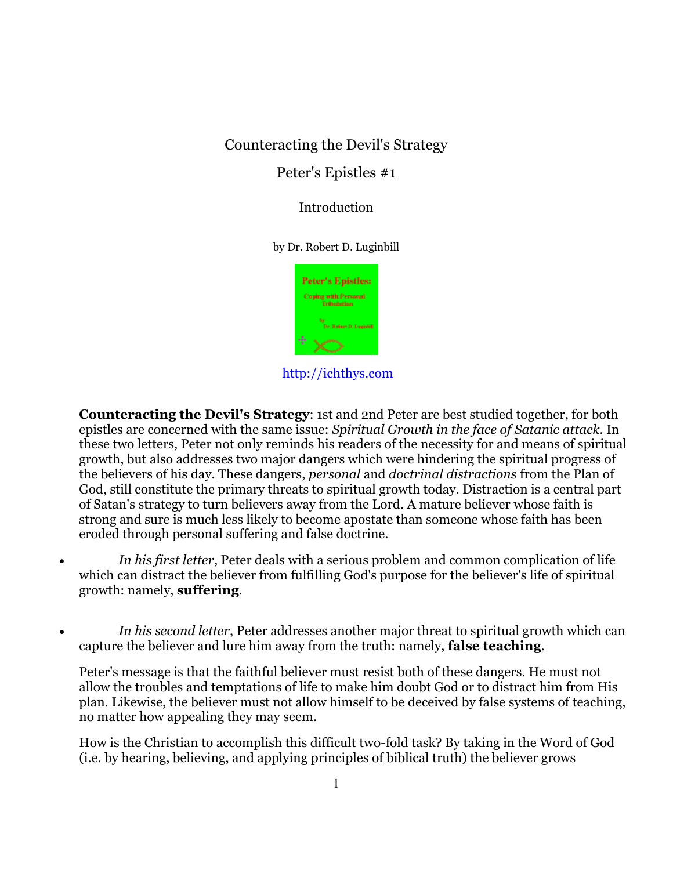## Counteracting the Devil's Strategy

## Peter's Epistles #1

Introduction

by Dr. Robert D. Luginbill



http://ichthys.com

**Counteracting the Devil's Strategy**: 1st and 2nd Peter are best studied together, for both epistles are concerned with the same issue: *Spiritual Growth in the face of Satanic attack*. In these two letters, Peter not only reminds his readers of the necessity for and means of spiritual growth, but also addresses two major dangers which were hindering the spiritual progress of the believers of his day. These dangers, *personal* and *doctrinal distractions* from the Plan of God, still constitute the primary threats to spiritual growth today. Distraction is a central part of Satan's strategy to turn believers away from the Lord. A mature believer whose faith is strong and sure is much less likely to become apostate than someone whose faith has been eroded through personal suffering and false doctrine.

- *In his first letter*, Peter deals with a serious problem and common complication of life which can distract the believer from fulfilling God's purpose for the believer's life of spiritual growth: namely, **suffering**.
- *In his second letter*, Peter addresses another major threat to spiritual growth which can capture the believer and lure him away from the truth: namely, **false teaching**.

Peter's message is that the faithful believer must resist both of these dangers. He must not allow the troubles and temptations of life to make him doubt God or to distract him from His plan. Likewise, the believer must not allow himself to be deceived by false systems of teaching, no matter how appealing they may seem.

How is the Christian to accomplish this difficult two-fold task? By taking in the Word of God (i.e. by hearing, believing, and applying principles of biblical truth) the believer grows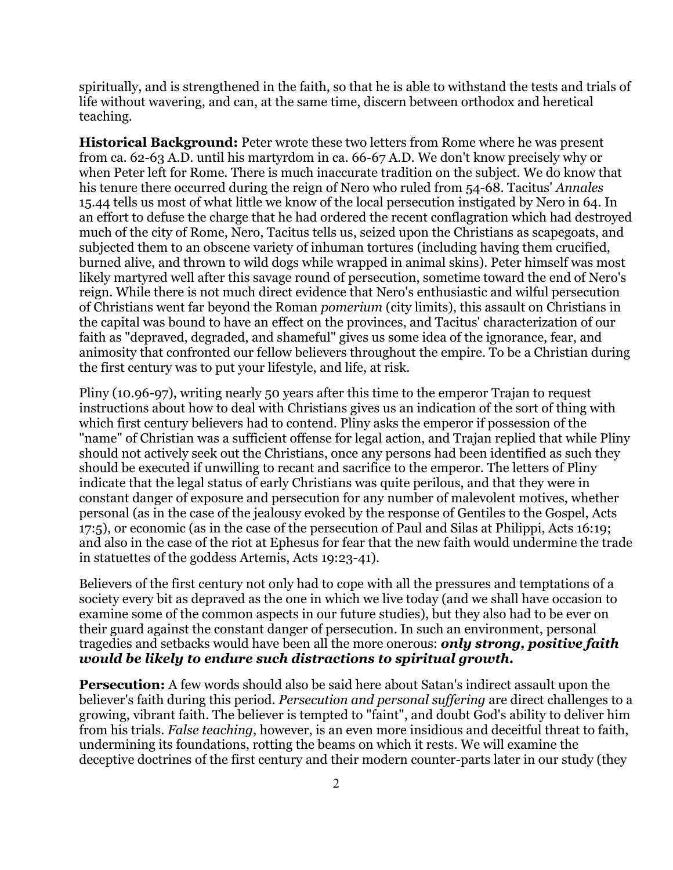spiritually, and is strengthened in the faith, so that he is able to withstand the tests and trials of life without wavering, and can, at the same time, discern between orthodox and heretical teaching.

**Historical Background:** Peter wrote these two letters from Rome where he was present from ca. 62-63 A.D. until his martyrdom in ca. 66-67 A.D. We don't know precisely why or when Peter left for Rome. There is much inaccurate tradition on the subject. We do know that his tenure there occurred during the reign of Nero who ruled from 54-68. Tacitus' *Annales* 15.44 tells us most of what little we know of the local persecution instigated by Nero in 64. In an effort to defuse the charge that he had ordered the recent conflagration which had destroyed much of the city of Rome, Nero, Tacitus tells us, seized upon the Christians as scapegoats, and subjected them to an obscene variety of inhuman tortures (including having them crucified, burned alive, and thrown to wild dogs while wrapped in animal skins). Peter himself was most likely martyred well after this savage round of persecution, sometime toward the end of Nero's reign. While there is not much direct evidence that Nero's enthusiastic and wilful persecution of Christians went far beyond the Roman *pomerium* (city limits), this assault on Christians in the capital was bound to have an effect on the provinces, and Tacitus' characterization of our faith as "depraved, degraded, and shameful" gives us some idea of the ignorance, fear, and animosity that confronted our fellow believers throughout the empire. To be a Christian during the first century was to put your lifestyle, and life, at risk.

Pliny (10.96-97), writing nearly 50 years after this time to the emperor Trajan to request instructions about how to deal with Christians gives us an indication of the sort of thing with which first century believers had to contend. Pliny asks the emperor if possession of the "name" of Christian was a sufficient offense for legal action, and Trajan replied that while Pliny should not actively seek out the Christians, once any persons had been identified as such they should be executed if unwilling to recant and sacrifice to the emperor. The letters of Pliny indicate that the legal status of early Christians was quite perilous, and that they were in constant danger of exposure and persecution for any number of malevolent motives, whether personal (as in the case of the jealousy evoked by the response of Gentiles to the Gospel, Acts 17:5), or economic (as in the case of the persecution of Paul and Silas at Philippi, Acts 16:19; and also in the case of the riot at Ephesus for fear that the new faith would undermine the trade in statuettes of the goddess Artemis, Acts 19:23-41).

Believers of the first century not only had to cope with all the pressures and temptations of a society every bit as depraved as the one in which we live today (and we shall have occasion to examine some of the common aspects in our future studies), but they also had to be ever on their guard against the constant danger of persecution. In such an environment, personal tragedies and setbacks would have been all the more onerous: *only strong, positive faith would be likely to endure such distractions to spiritual growth.*

**Persecution:** A few words should also be said here about Satan's indirect assault upon the believer's faith during this period. *Persecution and personal suffering* are direct challenges to a growing, vibrant faith. The believer is tempted to "faint", and doubt God's ability to deliver him from his trials. *False teaching*, however, is an even more insidious and deceitful threat to faith, undermining its foundations, rotting the beams on which it rests. We will examine the deceptive doctrines of the first century and their modern counter-parts later in our study (they